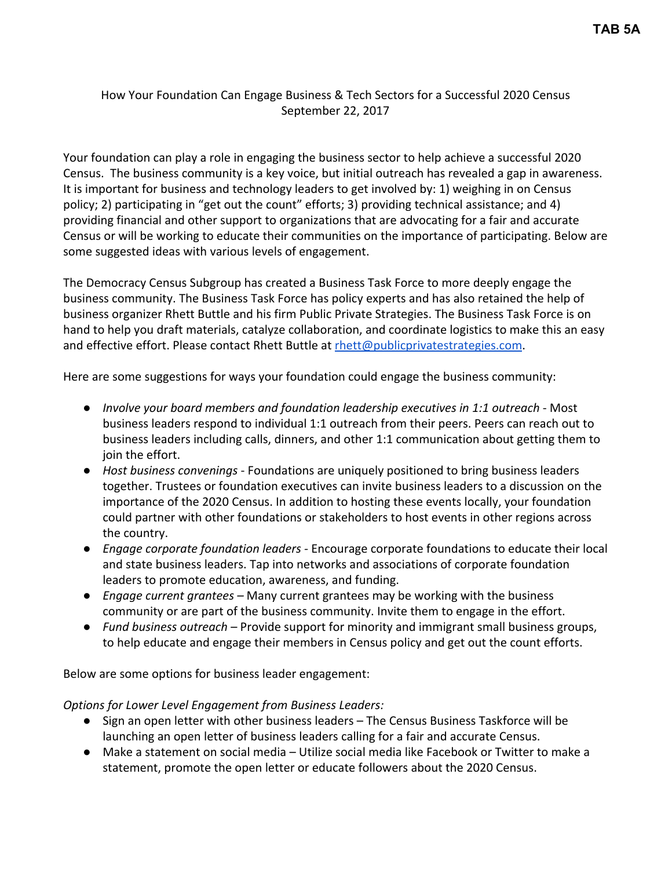## How Your Foundation Can Engage Business & Tech Sectors for a Successful 2020 Census September 22, 2017

Your foundation can play a role in engaging the business sector to help achieve a successful 2020 Census. The business community is a key voice, but initial outreach has revealed a gap in awareness. It is important for business and technology leaders to get involved by: 1) weighing in on Census policy; 2) participating in "get out the count" efforts; 3) providing technical assistance; and 4) providing financial and other support to organizations that are advocating for a fair and accurate Census or will be working to educate their communities on the importance of participating. Below are some suggested ideas with various levels of engagement.

The Democracy Census Subgroup has created a Business Task Force to more deeply engage the business community. The Business Task Force has policy experts and has also retained the help of business organizer Rhett Buttle and his firm Public Private Strategies. The Business Task Force is on hand to help you draft materials, catalyze collaboration, and coordinate logistics to make this an easy and effective effort. Please contact Rhett Buttle at rhett@publicprivatestrategies.com.

Here are some suggestions for ways your foundation could engage the business community:

- *●* Involve your board members and foundation leadership executives in 1:1 outreach Most business leaders respond to individual 1:1 outreach from their peers. Peers can reach out to business leaders including calls, dinners, and other 1:1 communication about getting them to join the effort.
- *●* Host business convenings Foundations are uniquely positioned to bring business leaders together. Trustees or foundation executives can invite business leaders to a discussion on the importance of the 2020 Census. In addition to hosting these events locally, your foundation could partner with other foundations or stakeholders to host events in other regions across the country.
- *●* Engage corporate foundation leaders Encourage corporate foundations to educate their local and state business leaders. Tap into networks and associations of corporate foundation leaders to promote education, awareness, and funding.
- *●* Engage current grantees Many current grantees may be working with the business community or are part of the business community. Invite them to engage in the effort.
- Fund business outreach Provide support for minority and immigrant small business groups, to help educate and engage their members in Census policy and get out the count efforts.

Below are some options for business leader engagement:

Options for Lower Level Engagement from Business Leaders:

- Sign an open letter with other business leaders The Census Business Taskforce will be launching an open letter of business leaders calling for a fair and accurate Census.
- Make a statement on social media Utilize social media like Facebook or Twitter to make a statement, promote the open letter or educate followers about the 2020 Census.